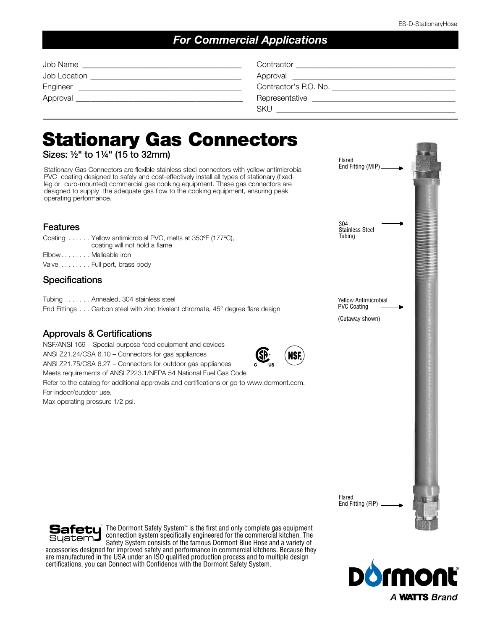### *For Commercial Applications*

| Job Name     | Contractor            |
|--------------|-----------------------|
| Job Location | Approval              |
| Engineer     | Contractor's P.O. No. |
| Approval     | Representative        |
|              | <b>SKU</b>            |

# Stationary Gas Connectors

Sizes: ½" to 1¼" (15 to 32mm)

Stationary Gas Connectors are flexible stainless steel connectors with yellow antimicrobial PVC coating designed to safely and cost-effectively install all types of stationary (fixedleg or curb-mounted) commercial gas cooking equipment. These gas connectors are designed to supply the adequate gas flow to the cooking equipment, ensuring peak operating performance.

#### Features

|                     | Coating  Yellow antimicrobial PVC, melts at 350°F (177°C),<br>coating will not hold a flame |
|---------------------|---------------------------------------------------------------------------------------------|
| ElbowMalleable iron |                                                                                             |
|                     | Valve  Full port, brass body                                                                |

#### **Specifications**

Tubing . . . . . . . Annealed, 304 stainless steel

End Fittings . . . Carbon steel with zinc trivalent chromate, 45° degree flare design

#### Approvals & Certifications

NSF/ANSI 169 – Special-purpose food equipment and devices ANSI Z21.24/CSA 6.10 – Connectors for gas appliances ANSI Z21.75/CSA 6.27 – Connectors for outdoor gas appliances Meets requirements of ANSI Z223.1/NFPA 54 National Fuel Gas Code Refer to the catalog for additional approvals and certifications or go to www.dormont.com. For indoor/outdoor use.

Max operating pressure 1/2 psi.





The Dormont Safety System™ is the first and only complete gas equipment Safetu connection system specifically engineered for the commercial kitchen. The Sustem**J** Safety System consists of the famous Dormont Blue Hose and a variety of accessories designed for improved safety and performance in commercial kitchens. Because they are manufactured in the USA under an ISO qualified production process and to multiple design certifications, you can Connect with Confidence with the Dormont Safety System.